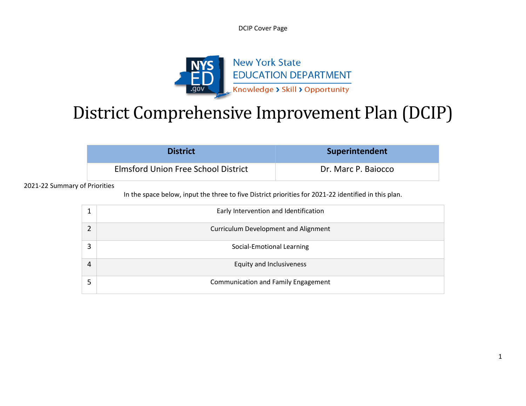DCIP Cover Page



# District Comprehensive Improvement Plan (DCIP)

| <b>District</b>                     | Superintendent      |
|-------------------------------------|---------------------|
| Elmsford Union Free School District | Dr. Marc P. Baiocco |

2021-22 Summary of Priorities

In the space below, input the three to five District priorities for 2021-22 identified in this plan.

|   | Early Intervention and Identification       |
|---|---------------------------------------------|
|   | <b>Curriculum Development and Alignment</b> |
| 3 | Social-Emotional Learning                   |
| 4 | Equity and Inclusiveness                    |
|   | <b>Communication and Family Engagement</b>  |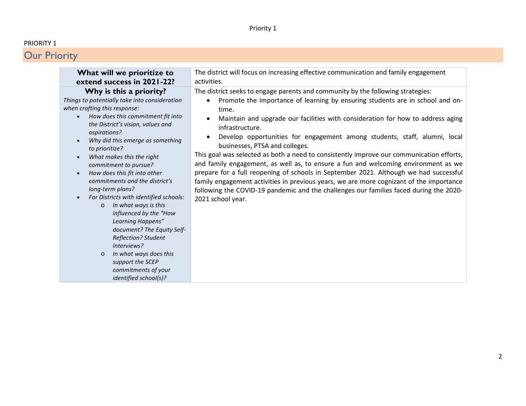#### PRIORITY 1

| What will we prioritize to                                                                                                                                                                                                                                                                                                                                                                                                                                                                                                                                                                                                                                                                                           | The district will focus on increasing effective communication and family engagement                                                                                                                                                                                                                                                                                                                                                                                                                                                                                                                                                                                                                                                                                                                                                                                                 |
|----------------------------------------------------------------------------------------------------------------------------------------------------------------------------------------------------------------------------------------------------------------------------------------------------------------------------------------------------------------------------------------------------------------------------------------------------------------------------------------------------------------------------------------------------------------------------------------------------------------------------------------------------------------------------------------------------------------------|-------------------------------------------------------------------------------------------------------------------------------------------------------------------------------------------------------------------------------------------------------------------------------------------------------------------------------------------------------------------------------------------------------------------------------------------------------------------------------------------------------------------------------------------------------------------------------------------------------------------------------------------------------------------------------------------------------------------------------------------------------------------------------------------------------------------------------------------------------------------------------------|
| extend success in 2021-22?                                                                                                                                                                                                                                                                                                                                                                                                                                                                                                                                                                                                                                                                                           | activities.                                                                                                                                                                                                                                                                                                                                                                                                                                                                                                                                                                                                                                                                                                                                                                                                                                                                         |
| Why is this a priority?<br>Things to potentially take into consideration<br>when crafting this response:<br>How does this commitment fit into<br>the District's vision, values and<br>aspirations?<br>Why did this emerge as something<br>to prioritize?<br>What makes this the right<br>commitment to pursue?<br>How does this fit into other<br>commitments and the district's<br>long-term plans?<br>For Districts with identified schools:<br>In what ways is this<br>$\circ$<br>influenced by the "How<br>Learning Happens"<br>document? The Equity Self-<br><b>Reflection? Student</b><br>Interviews?<br>In what ways does this<br>$\circ$<br>support the SCEP<br>commitments of your<br>identified school(s)? | The district seeks to engage parents and community by the following strategies:<br>Promote the importance of learning by ensuring students are in school and on-<br>time.<br>Maintain and upgrade our facilities with consideration for how to address aging<br>infrastructure.<br>Develop opportunities for engagement among students, staff, alumni, local<br>businesses, PTSA and colleges.<br>This goal was selected as both a need to consistently improve our communication efforts,<br>and family engagement, as well as, to ensure a fun and welcoming environment as we<br>prepare for a full reopening of schools in September 2021. Although we had successful<br>family engagement activities in previous years, we are more cognizant of the importance<br>following the COVID-19 pandemic and the challenges our families faced during the 2020-<br>2021 school year. |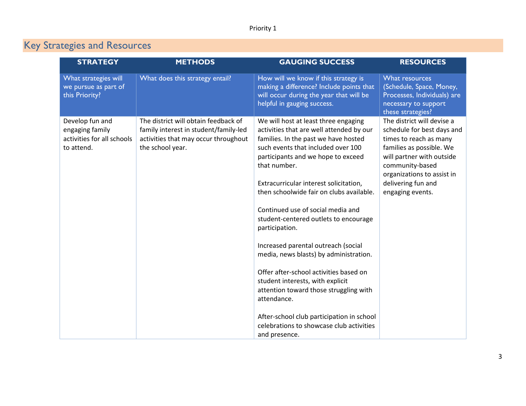| <b>STRATEGY</b>                                                                | <b>METHODS</b>                                                                                                                            | <b>GAUGING SUCCESS</b>                                                                                                                                                                                                                                                                                                                                                                                                                                                                                                                                                                                                                                                                                                                       | <b>RESOURCES</b>                                                                                                                                                                                                                       |
|--------------------------------------------------------------------------------|-------------------------------------------------------------------------------------------------------------------------------------------|----------------------------------------------------------------------------------------------------------------------------------------------------------------------------------------------------------------------------------------------------------------------------------------------------------------------------------------------------------------------------------------------------------------------------------------------------------------------------------------------------------------------------------------------------------------------------------------------------------------------------------------------------------------------------------------------------------------------------------------------|----------------------------------------------------------------------------------------------------------------------------------------------------------------------------------------------------------------------------------------|
| What strategies will<br>we pursue as part of<br>this Priority?                 | What does this strategy entail?                                                                                                           | How will we know if this strategy is<br>making a difference? Include points that<br>will occur during the year that will be<br>helpful in gauging success.                                                                                                                                                                                                                                                                                                                                                                                                                                                                                                                                                                                   | What resources<br>(Schedule, Space, Money,<br>Processes, Individuals) are<br>necessary to support<br>these strategies?                                                                                                                 |
| Develop fun and<br>engaging family<br>activities for all schools<br>to attend. | The district will obtain feedback of<br>family interest in student/family-led<br>activities that may occur throughout<br>the school year. | We will host at least three engaging<br>activities that are well attended by our<br>families. In the past we have hosted<br>such events that included over 100<br>participants and we hope to exceed<br>that number.<br>Extracurricular interest solicitation,<br>then schoolwide fair on clubs available.<br>Continued use of social media and<br>student-centered outlets to encourage<br>participation.<br>Increased parental outreach (social<br>media, news blasts) by administration.<br>Offer after-school activities based on<br>student interests, with explicit<br>attention toward those struggling with<br>attendance.<br>After-school club participation in school<br>celebrations to showcase club activities<br>and presence. | The district will devise a<br>schedule for best days and<br>times to reach as many<br>families as possible. We<br>will partner with outside<br>community-based<br>organizations to assist in<br>delivering fun and<br>engaging events. |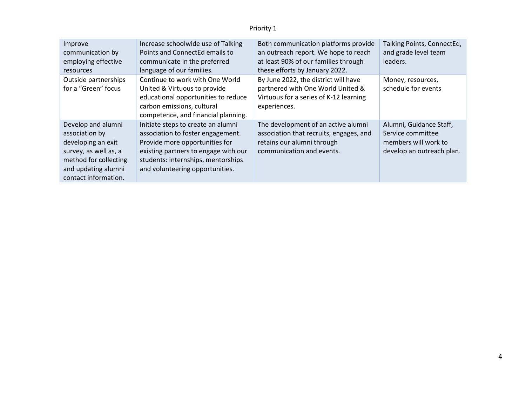| Improve<br>communication by<br>employing effective<br><b>resources</b>                                                                                      | Increase schoolwide use of Talking<br>Points and ConnectEd emails to<br>communicate in the preferred<br>language of our families.                                                                                          | Both communication platforms provide<br>an outreach report. We hope to reach<br>at least 90% of our families through<br>these efforts by January 2022. | Talking Points, ConnectEd,<br>and grade level team<br>leaders.                                    |
|-------------------------------------------------------------------------------------------------------------------------------------------------------------|----------------------------------------------------------------------------------------------------------------------------------------------------------------------------------------------------------------------------|--------------------------------------------------------------------------------------------------------------------------------------------------------|---------------------------------------------------------------------------------------------------|
| Outside partnerships<br>for a "Green" focus                                                                                                                 | Continue to work with One World<br>United & Virtuous to provide<br>educational opportunities to reduce<br>carbon emissions, cultural<br>competence, and financial planning.                                                | By June 2022, the district will have<br>partnered with One World United &<br>Virtuous for a series of K-12 learning<br>experiences.                    | Money, resources,<br>schedule for events                                                          |
| Develop and alumni<br>association by<br>developing an exit<br>survey, as well as, a<br>method for collecting<br>and updating alumni<br>contact information. | Initiate steps to create an alumni<br>association to foster engagement.<br>Provide more opportunities for<br>existing partners to engage with our<br>students: internships, mentorships<br>and volunteering opportunities. | The development of an active alumni<br>association that recruits, engages, and<br>retains our alumni through<br>communication and events.              | Alumni, Guidance Staff,<br>Service committee<br>members will work to<br>develop an outreach plan. |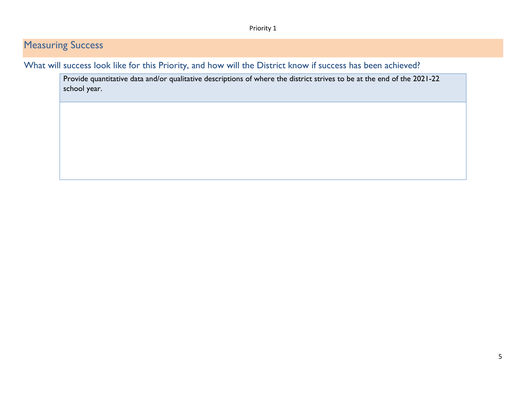### **Measuring Success**

What will success look like for this Priority, and how will the District know if success has been achieved?

Provide quantitative data and/or qualitative descriptions of where the district strives to be at the end of the 2021-22 school year.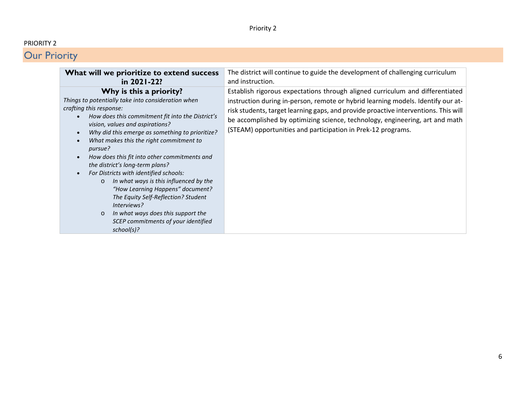#### PRIORITY 2

| What will we prioritize to extend success                                                                                                                                                                                                                                                                                                                                                                                                                                                                                                                                                                                                                                                  | The district will continue to guide the development of challenging curriculum                                                                                                                                                                                                                                                                                                                            |
|--------------------------------------------------------------------------------------------------------------------------------------------------------------------------------------------------------------------------------------------------------------------------------------------------------------------------------------------------------------------------------------------------------------------------------------------------------------------------------------------------------------------------------------------------------------------------------------------------------------------------------------------------------------------------------------------|----------------------------------------------------------------------------------------------------------------------------------------------------------------------------------------------------------------------------------------------------------------------------------------------------------------------------------------------------------------------------------------------------------|
| in 2021-22?                                                                                                                                                                                                                                                                                                                                                                                                                                                                                                                                                                                                                                                                                | and instruction.                                                                                                                                                                                                                                                                                                                                                                                         |
| Why is this a priority?<br>Things to potentially take into consideration when<br>crafting this response:<br>How does this commitment fit into the District's<br>vision, values and aspirations?<br>Why did this emerge as something to prioritize?<br>What makes this the right commitment to<br>pursue?<br>How does this fit into other commitments and<br>the district's long-term plans?<br>For Districts with identified schools:<br>In what ways is this influenced by the<br>$\circ$<br>"How Learning Happens" document?<br>The Equity Self-Reflection? Student<br>Interviews?<br>In what ways does this support the<br>$\circ$<br>SCEP commitments of your identified<br>school(s)? | Establish rigorous expectations through aligned curriculum and differentiated<br>instruction during in-person, remote or hybrid learning models. Identify our at-<br>risk students, target learning gaps, and provide proactive interventions. This will<br>be accomplished by optimizing science, technology, engineering, art and math<br>(STEAM) opportunities and participation in Prek-12 programs. |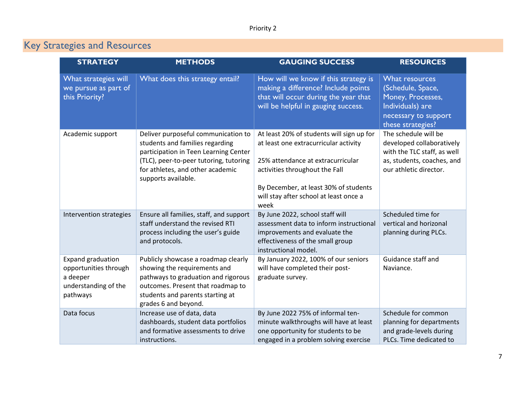| <b>STRATEGY</b>                                                                                   | <b>METHODS</b>                                                                                                                                                                                                       | <b>GAUGING SUCCESS</b>                                                                                                                                                                                                                               | <b>RESOURCES</b>                                                                                                                         |
|---------------------------------------------------------------------------------------------------|----------------------------------------------------------------------------------------------------------------------------------------------------------------------------------------------------------------------|------------------------------------------------------------------------------------------------------------------------------------------------------------------------------------------------------------------------------------------------------|------------------------------------------------------------------------------------------------------------------------------------------|
| What strategies will<br>we pursue as part of<br>this Priority?                                    | What does this strategy entail?                                                                                                                                                                                      | How will we know if this strategy is<br>making a difference? Include points<br>that will occur during the year that<br>will be helpful in gauging success.                                                                                           | What resources<br>(Schedule, Space,<br>Money, Processes,<br>Individuals) are<br>necessary to support<br>these strategies?                |
| Academic support                                                                                  | Deliver purposeful communication to<br>students and families regarding<br>participation in Teen Learning Center<br>(TLC), peer-to-peer tutoring, tutoring<br>for athletes, and other academic<br>supports available. | At least 20% of students will sign up for<br>at least one extracurricular activity<br>25% attendance at extracurricular<br>activities throughout the Fall<br>By December, at least 30% of students<br>will stay after school at least once a<br>week | The schedule will be<br>developed collaboratively<br>with the TLC staff, as well<br>as, students, coaches, and<br>our athletic director. |
| Intervention strategies                                                                           | Ensure all families, staff, and support<br>staff understand the revised RTI<br>process including the user's guide<br>and protocols.                                                                                  | By June 2022, school staff will<br>assessment data to inform instructional<br>improvements and evaluate the<br>effectiveness of the small group<br>instructional model.                                                                              | Scheduled time for<br>vertical and horizonal<br>planning during PLCs.                                                                    |
| <b>Expand graduation</b><br>opportunities through<br>a deeper<br>understanding of the<br>pathways | Publicly showcase a roadmap clearly<br>showing the requirements and<br>pathways to graduation and rigorous<br>outcomes. Present that roadmap to<br>students and parents starting at<br>grades 6 and beyond.          | By January 2022, 100% of our seniors<br>will have completed their post-<br>graduate survey.                                                                                                                                                          | Guidance staff and<br>Naviance.                                                                                                          |
| Data focus                                                                                        | Increase use of data, data<br>dashboards, student data portfolios<br>and formative assessments to drive<br>instructions.                                                                                             | By June 2022 75% of informal ten-<br>minute walkthroughs will have at least<br>one opportunity for students to be<br>engaged in a problem solving exercise                                                                                           | Schedule for common<br>planning for departments<br>and grade-levels during<br>PLCs. Time dedicated to                                    |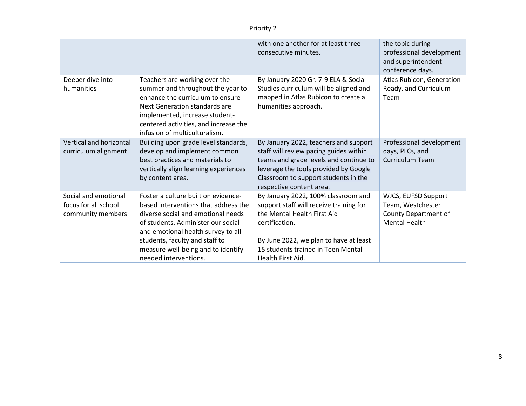|                                                                   |                                                                                                                                                                                                                                                                                                | with one another for at least three<br>consecutive minutes.                                                                                                                                                                            | the topic during<br>professional development<br>and superintendent<br>conference days.   |
|-------------------------------------------------------------------|------------------------------------------------------------------------------------------------------------------------------------------------------------------------------------------------------------------------------------------------------------------------------------------------|----------------------------------------------------------------------------------------------------------------------------------------------------------------------------------------------------------------------------------------|------------------------------------------------------------------------------------------|
| Deeper dive into<br>humanities                                    | Teachers are working over the<br>summer and throughout the year to<br>enhance the curriculum to ensure<br>Next Generation standards are<br>implemented, increase student-<br>centered activities, and increase the<br>infusion of multiculturalism.                                            | By January 2020 Gr. 7-9 ELA & Social<br>Studies curriculum will be aligned and<br>mapped in Atlas Rubicon to create a<br>humanities approach.                                                                                          | Atlas Rubicon, Generation<br>Ready, and Curriculum<br>Team                               |
| Vertical and horizontal<br>curriculum alignment                   | Building upon grade level standards,<br>develop and implement common<br>best practices and materials to<br>vertically align learning experiences<br>by content area.                                                                                                                           | By January 2022, teachers and support<br>staff will review pacing guides within<br>teams and grade levels and continue to<br>leverage the tools provided by Google<br>Classroom to support students in the<br>respective content area. | Professional development<br>days, PLCs, and<br><b>Curriculum Team</b>                    |
| Social and emotional<br>focus for all school<br>community members | Foster a culture built on evidence-<br>based interventions that address the<br>diverse social and emotional needs<br>of students. Administer our social<br>and emotional health survey to all<br>students, faculty and staff to<br>measure well-being and to identify<br>needed interventions. | By January 2022, 100% classroom and<br>support staff will receive training for<br>the Mental Health First Aid<br>certification.<br>By June 2022, we plan to have at least<br>15 students trained in Teen Mental<br>Health First Aid.   | WJCS, EUFSD Support<br>Team, Westchester<br>County Department of<br><b>Mental Health</b> |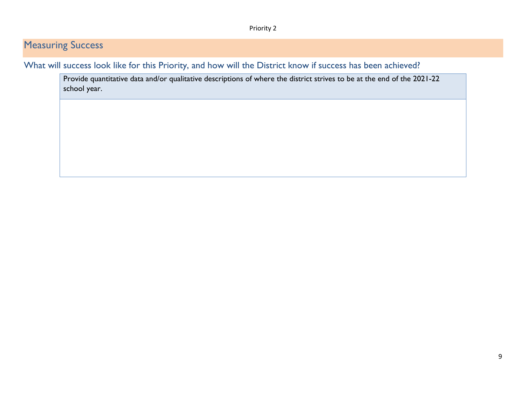### **Measuring Success**

What will success look like for this Priority, and how will the District know if success has been achieved?

Provide quantitative data and/or qualitative descriptions of where the district strives to be at the end of the 2021-22 school year.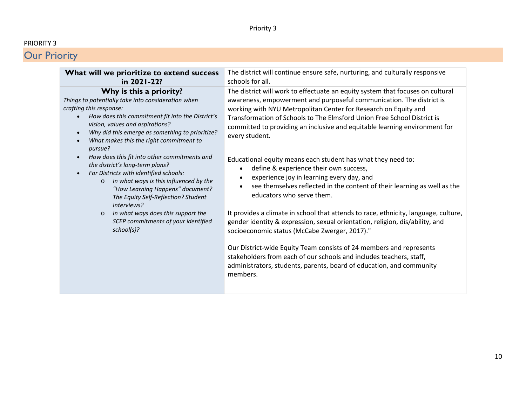#### PRIORITY 3

| What will we prioritize to extend success<br>in 2021-22?                                                                                                                                                                                                                                                                                                                                                                                                                                                                                                                                                                                                                                   | The district will continue ensure safe, nurturing, and culturally responsive<br>schools for all.                                                                                                                                                                                                                                                                                                                                                                                                                                                                                                                                                                                                                                                                                                                                                                                                                                                                                                                                                                                                                               |
|--------------------------------------------------------------------------------------------------------------------------------------------------------------------------------------------------------------------------------------------------------------------------------------------------------------------------------------------------------------------------------------------------------------------------------------------------------------------------------------------------------------------------------------------------------------------------------------------------------------------------------------------------------------------------------------------|--------------------------------------------------------------------------------------------------------------------------------------------------------------------------------------------------------------------------------------------------------------------------------------------------------------------------------------------------------------------------------------------------------------------------------------------------------------------------------------------------------------------------------------------------------------------------------------------------------------------------------------------------------------------------------------------------------------------------------------------------------------------------------------------------------------------------------------------------------------------------------------------------------------------------------------------------------------------------------------------------------------------------------------------------------------------------------------------------------------------------------|
| Why is this a priority?<br>Things to potentially take into consideration when<br>crafting this response:<br>How does this commitment fit into the District's<br>vision, values and aspirations?<br>Why did this emerge as something to prioritize?<br>What makes this the right commitment to<br>pursue?<br>How does this fit into other commitments and<br>the district's long-term plans?<br>For Districts with identified schools:<br>In what ways is this influenced by the<br>$\circ$<br>"How Learning Happens" document?<br>The Equity Self-Reflection? Student<br>Interviews?<br>In what ways does this support the<br>$\circ$<br>SCEP commitments of your identified<br>school(s)? | The district will work to effectuate an equity system that focuses on cultural<br>awareness, empowerment and purposeful communication. The district is<br>working with NYU Metropolitan Center for Research on Equity and<br>Transformation of Schools to The Elmsford Union Free School District is<br>committed to providing an inclusive and equitable learning environment for<br>every student.<br>Educational equity means each student has what they need to:<br>define & experience their own success,<br>experience joy in learning every day, and<br>see themselves reflected in the content of their learning as well as the<br>educators who serve them.<br>It provides a climate in school that attends to race, ethnicity, language, culture,<br>gender identity & expression, sexual orientation, religion, dis/ability, and<br>socioeconomic status (McCabe Zwerger, 2017)."<br>Our District-wide Equity Team consists of 24 members and represents<br>stakeholders from each of our schools and includes teachers, staff,<br>administrators, students, parents, board of education, and community<br>members. |
|                                                                                                                                                                                                                                                                                                                                                                                                                                                                                                                                                                                                                                                                                            |                                                                                                                                                                                                                                                                                                                                                                                                                                                                                                                                                                                                                                                                                                                                                                                                                                                                                                                                                                                                                                                                                                                                |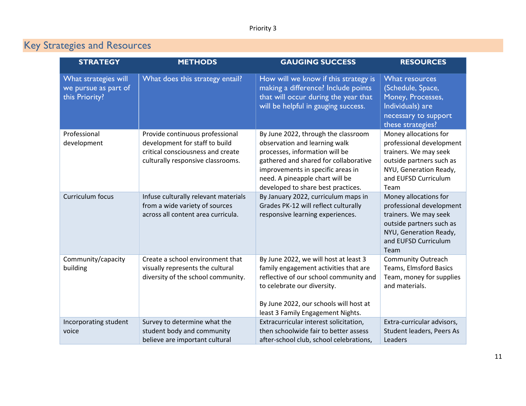| <b>STRATEGY</b>                                                | <b>METHODS</b>                                                                                                                              | <b>GAUGING SUCCESS</b>                                                                                                                                                                                                                                        | <b>RESOURCES</b>                                                                                                                                                 |
|----------------------------------------------------------------|---------------------------------------------------------------------------------------------------------------------------------------------|---------------------------------------------------------------------------------------------------------------------------------------------------------------------------------------------------------------------------------------------------------------|------------------------------------------------------------------------------------------------------------------------------------------------------------------|
| What strategies will<br>we pursue as part of<br>this Priority? | What does this strategy entail?                                                                                                             | How will we know if this strategy is<br>making a difference? Include points<br>that will occur during the year that<br>will be helpful in gauging success.                                                                                                    | What resources<br>(Schedule, Space,<br>Money, Processes,<br>Individuals) are<br>necessary to support<br>these strategies?                                        |
| Professional<br>development                                    | Provide continuous professional<br>development for staff to build<br>critical consciousness and create<br>culturally responsive classrooms. | By June 2022, through the classroom<br>observation and learning walk<br>processes, information will be<br>gathered and shared for collaborative<br>improvements in specific areas in<br>need. A pineapple chart will be<br>developed to share best practices. | Money allocations for<br>professional development<br>trainers. We may seek<br>outside partners such as<br>NYU, Generation Ready,<br>and EUFSD Curriculum<br>Team |
| Curriculum focus                                               | Infuse culturally relevant materials<br>from a wide variety of sources<br>across all content area curricula.                                | By January 2022, curriculum maps in<br>Grades PK-12 will reflect culturally<br>responsive learning experiences.                                                                                                                                               | Money allocations for<br>professional development<br>trainers. We may seek<br>outside partners such as<br>NYU, Generation Ready,<br>and EUFSD Curriculum<br>Team |
| Community/capacity<br>building                                 | Create a school environment that<br>visually represents the cultural<br>diversity of the school community.                                  | By June 2022, we will host at least 3<br>family engagement activities that are<br>reflective of our school community and<br>to celebrate our diversity.<br>By June 2022, our schools will host at<br>least 3 Family Engagement Nights.                        | <b>Community Outreach</b><br><b>Teams, Elmsford Basics</b><br>Team, money for supplies<br>and materials.                                                         |
| Incorporating student<br>voice                                 | Survey to determine what the<br>student body and community<br>believe are important cultural                                                | Extracurricular interest solicitation,<br>then schoolwide fair to better assess<br>after-school club, school celebrations,                                                                                                                                    | Extra-curricular advisors,<br>Student leaders, Peers As<br>Leaders                                                                                               |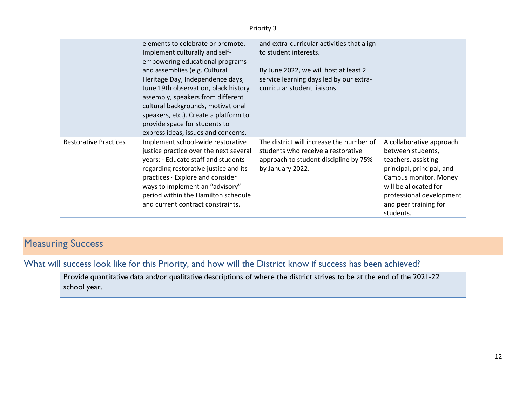|                              | elements to celebrate or promote.<br>Implement culturally and self-<br>empowering educational programs<br>and assemblies (e.g. Cultural<br>Heritage Day, Independence days,<br>June 19th observation, black history<br>assembly, speakers from different<br>cultural backgrounds, motivational<br>speakers, etc.). Create a platform to<br>provide space for students to<br>express ideas, issues and concerns. | and extra-curricular activities that align<br>to student interests.<br>By June 2022, we will host at least 2<br>service learning days led by our extra-<br>curricular student liaisons. |                                                                                                                                                                                                                       |
|------------------------------|-----------------------------------------------------------------------------------------------------------------------------------------------------------------------------------------------------------------------------------------------------------------------------------------------------------------------------------------------------------------------------------------------------------------|-----------------------------------------------------------------------------------------------------------------------------------------------------------------------------------------|-----------------------------------------------------------------------------------------------------------------------------------------------------------------------------------------------------------------------|
| <b>Restorative Practices</b> | Implement school-wide restorative<br>justice practice over the next several<br>years: · Educate staff and students<br>regarding restorative justice and its<br>practices · Explore and consider<br>ways to implement an "advisory"<br>period within the Hamilton schedule<br>and current contract constraints.                                                                                                  | The district will increase the number of<br>students who receive a restorative<br>approach to student discipline by 75%<br>by January 2022.                                             | A collaborative approach<br>between students,<br>teachers, assisting<br>principal, principal, and<br>Campus monitor. Money<br>will be allocated for<br>professional development<br>and peer training for<br>students. |

### **Measuring Success**

What will success look like for this Priority, and how will the District know if success has been achieved?

Provide quantitative data and/or qualitative descriptions of where the district strives to be at the end of the 2021-22 school year.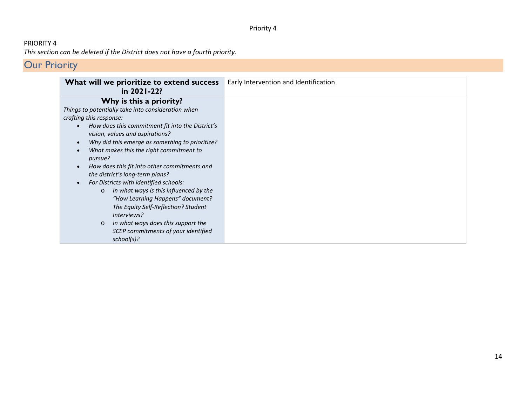#### PRIORITY 4 *This section can be deleted if the District does not have a fourth priority.*

| What will we prioritize to extend success<br>in 2021-22?        | Early Intervention and Identification |
|-----------------------------------------------------------------|---------------------------------------|
| Why is this a priority?                                         |                                       |
| Things to potentially take into consideration when              |                                       |
| crafting this response:                                         |                                       |
| How does this commitment fit into the District's<br>$\bullet$   |                                       |
| vision, values and aspirations?                                 |                                       |
| Why did this emerge as something to prioritize?<br>$\bullet$    |                                       |
| What makes this the right commitment to<br>$\bullet$<br>pursue? |                                       |
| How does this fit into other commitments and<br>$\bullet$       |                                       |
| the district's long-term plans?                                 |                                       |
| For Districts with identified schools:<br>$\bullet$             |                                       |
| In what ways is this influenced by the<br>$\circ$               |                                       |
| "How Learning Happens" document?                                |                                       |
| The Equity Self-Reflection? Student                             |                                       |
| Interviews?                                                     |                                       |
| In what ways does this support the<br>$\circ$                   |                                       |
| SCEP commitments of your identified                             |                                       |
| school(s)?                                                      |                                       |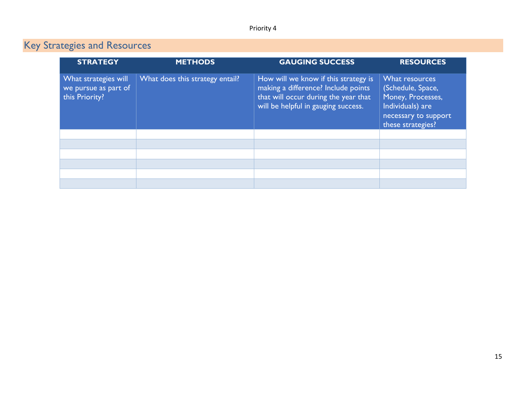| <b>STRATEGY</b>                                                | <b>METHODS</b>                  | <b>GAUGING SUCCESS</b>                                                                                                                                     | <b>RESOURCES</b>                                                                                                          |
|----------------------------------------------------------------|---------------------------------|------------------------------------------------------------------------------------------------------------------------------------------------------------|---------------------------------------------------------------------------------------------------------------------------|
| What strategies will<br>we pursue as part of<br>this Priority? | What does this strategy entail? | How will we know if this strategy is<br>making a difference? Include points<br>that will occur during the year that<br>will be helpful in gauging success. | What resources<br>(Schedule, Space,<br>Money, Processes,<br>Individuals) are<br>necessary to support<br>these strategies? |
|                                                                |                                 |                                                                                                                                                            |                                                                                                                           |
|                                                                |                                 |                                                                                                                                                            |                                                                                                                           |
|                                                                |                                 |                                                                                                                                                            |                                                                                                                           |
|                                                                |                                 |                                                                                                                                                            |                                                                                                                           |
|                                                                |                                 |                                                                                                                                                            |                                                                                                                           |
|                                                                |                                 |                                                                                                                                                            |                                                                                                                           |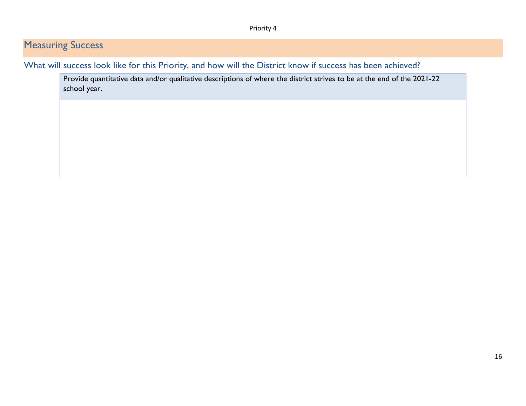### **Measuring Success**

What will success look like for this Priority, and how will the District know if success has been achieved?

Provide quantitative data and/or qualitative descriptions of where the district strives to be at the end of the 2021-22 school year.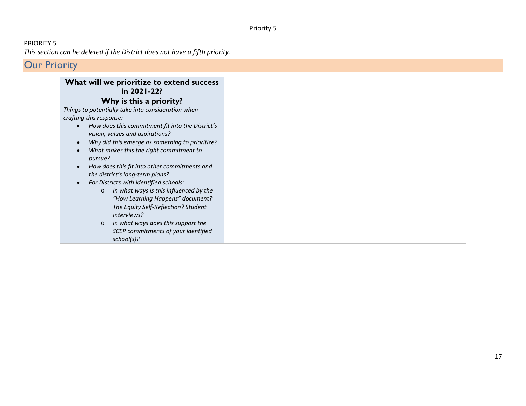#### PRIORITY 5 *This section can be deleted if the District does not have a fifth priority.*

|                                     | What will we prioritize to extend success<br>in 2021-22?                                                                                                                                                                                                                                                                       |
|-------------------------------------|--------------------------------------------------------------------------------------------------------------------------------------------------------------------------------------------------------------------------------------------------------------------------------------------------------------------------------|
|                                     | Why is this a priority?                                                                                                                                                                                                                                                                                                        |
| $\bullet$<br>$\bullet$<br>$\bullet$ | Things to potentially take into consideration when<br>crafting this response:<br>How does this commitment fit into the District's<br>vision, values and aspirations?<br>Why did this emerge as something to prioritize?<br>What makes this the right commitment to<br>pursue?<br>How does this fit into other commitments and  |
| $\bullet$                           | the district's long-term plans?<br>For Districts with identified schools:<br>In what ways is this influenced by the<br>$\circ$<br>"How Learning Happens" document?<br>The Equity Self-Reflection? Student<br>Interviews?<br>In what ways does this support the<br>$\circ$<br>SCEP commitments of your identified<br>school(s)? |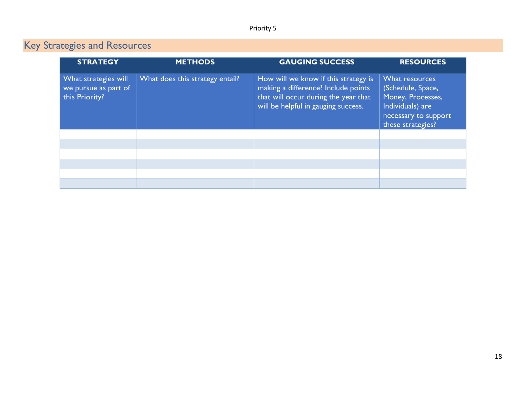| <b>STRATEGY</b>                                                | <b>METHODS</b>                  | <b>GAUGING SUCCESS</b>                                                                                                                                     | <b>RESOURCES</b>                                                                                                          |
|----------------------------------------------------------------|---------------------------------|------------------------------------------------------------------------------------------------------------------------------------------------------------|---------------------------------------------------------------------------------------------------------------------------|
| What strategies will<br>we pursue as part of<br>this Priority? | What does this strategy entail? | How will we know if this strategy is<br>making a difference? Include points<br>that will occur during the year that<br>will be helpful in gauging success. | What resources<br>(Schedule, Space,<br>Money, Processes,<br>Individuals) are<br>necessary to support<br>these strategies? |
|                                                                |                                 |                                                                                                                                                            |                                                                                                                           |
|                                                                |                                 |                                                                                                                                                            |                                                                                                                           |
|                                                                |                                 |                                                                                                                                                            |                                                                                                                           |
|                                                                |                                 |                                                                                                                                                            |                                                                                                                           |
|                                                                |                                 |                                                                                                                                                            |                                                                                                                           |
|                                                                |                                 |                                                                                                                                                            |                                                                                                                           |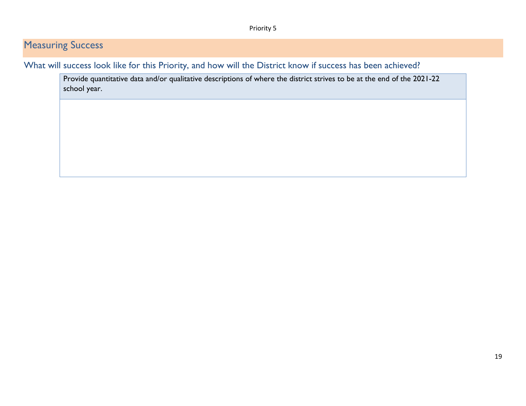### **Measuring Success**

What will success look like for this Priority, and how will the District know if success has been achieved?

Provide quantitative data and/or qualitative descriptions of where the district strives to be at the end of the 2021-22 school year.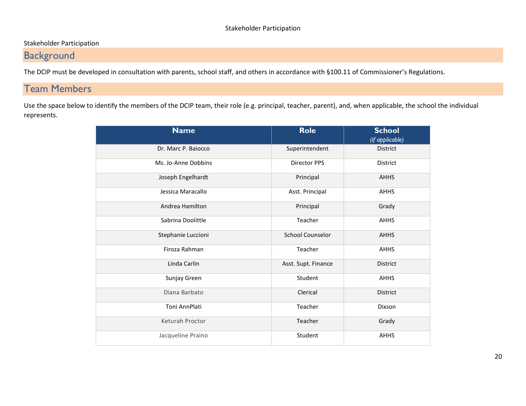#### Stakeholder Participation

### **Background**

The DCIP must be developed in consultation with parents, school staff, and others in accordance with §100.11 of Commissioner's Regulations.

### Team Members

Use the space below to identify the members of the DCIP team, their role (e.g. principal, teacher, parent), and, when applicable, the school the individual represents.

| <b>Name</b>         | <b>Role</b>             | <b>School</b><br>(if applicable) |
|---------------------|-------------------------|----------------------------------|
| Dr. Marc P. Baiocco | Superintendent          | District                         |
| Ms. Jo-Anne Dobbins | <b>Director PPS</b>     | District                         |
| Joseph Engelhardt   | Principal               | <b>AHHS</b>                      |
| Jessica Maracallo   | Asst. Principal         | <b>AHHS</b>                      |
| Andrea Hamilton     | Principal               | Grady                            |
| Sabrina Doolittle   | Teacher                 | <b>AHHS</b>                      |
| Stephanie Luccioni  | <b>School Counselor</b> | <b>AHHS</b>                      |
| Firoza Rahman       | Teacher                 | <b>AHHS</b>                      |
| Linda Carlin        | Asst. Supt. Finance     | <b>District</b>                  |
| Sunjay Green        | Student                 | <b>AHHS</b>                      |
| Diana Barbato       | Clerical                | <b>District</b>                  |
| Toni AnnPlati       | Teacher                 | Dixson                           |
| Keturah Proctor     | Teacher                 | Grady                            |
| Jacqueline Praino   | Student                 | <b>AHHS</b>                      |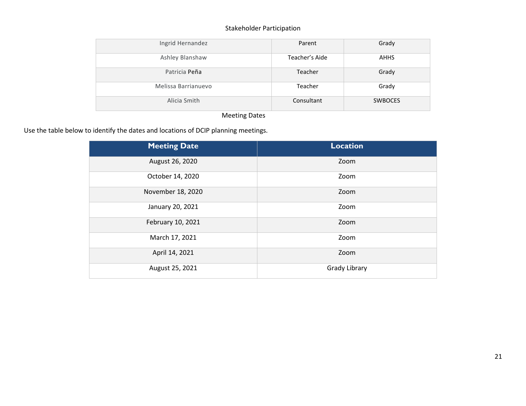#### Stakeholder Participation

| Ingrid Hernandez    | Parent         | Grady          |
|---------------------|----------------|----------------|
| Ashley Blanshaw     | Teacher's Aide | <b>AHHS</b>    |
| Patricia Peña       | Teacher        | Grady          |
| Melissa Barrianuevo | Teacher        | Grady          |
| Alicia Smith        | Consultant     | <b>SWBOCES</b> |

#### Meeting Dates

Use the table below to identify the dates and locations of DCIP planning meetings.

| <b>Meeting Date</b> | <b>Location</b>      |
|---------------------|----------------------|
| August 26, 2020     | Zoom                 |
| October 14, 2020    | Zoom                 |
| November 18, 2020   | Zoom                 |
| January 20, 2021    | Zoom                 |
| February 10, 2021   | Zoom                 |
| March 17, 2021      | Zoom                 |
| April 14, 2021      | Zoom                 |
| August 25, 2021     | <b>Grady Library</b> |